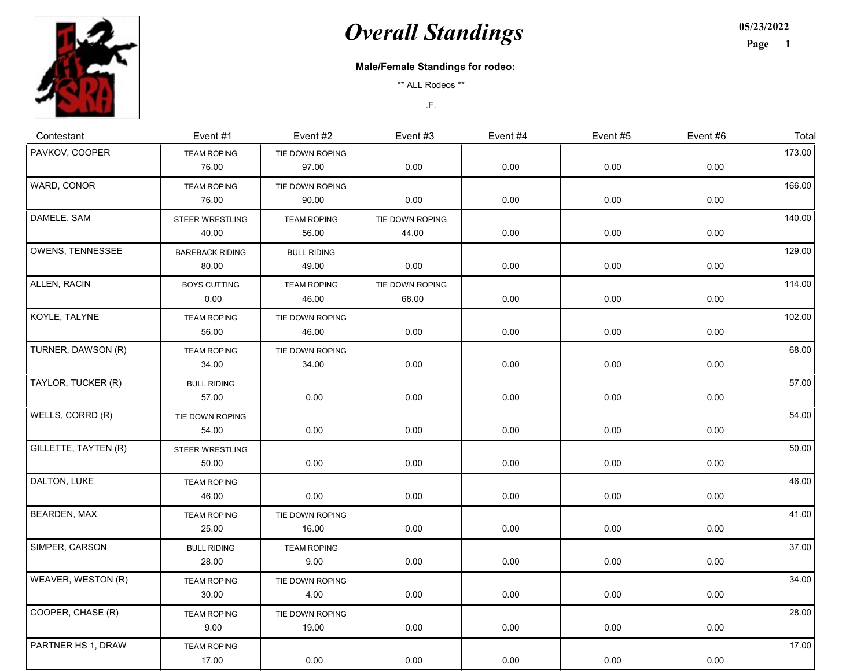

## **Overall Standings**

05/23/2022

Page 1

## Male/Female Standings for rodeo:

\*\* ALL Rodeos \*\*

.F.

| Contestant           | Event #1                        | Event #2                    | Event #3                 | Event #4 | Event #5 | Event #6 | Total  |
|----------------------|---------------------------------|-----------------------------|--------------------------|----------|----------|----------|--------|
| PAVKOV, COOPER       | <b>TEAM ROPING</b><br>76.00     | TIE DOWN ROPING<br>97.00    | 0.00                     | 0.00     | 0.00     | 0.00     | 173.00 |
| WARD, CONOR          | <b>TEAM ROPING</b><br>76.00     | TIE DOWN ROPING<br>90.00    | 0.00                     | 0.00     | 0.00     | 0.00     | 166.00 |
| DAMELE, SAM          | <b>STEER WRESTLING</b><br>40.00 | <b>TEAM ROPING</b><br>56.00 | TIE DOWN ROPING<br>44.00 | 0.00     | 0.00     | 0.00     | 140.00 |
| OWENS, TENNESSEE     | <b>BAREBACK RIDING</b><br>80.00 | <b>BULL RIDING</b><br>49.00 | 0.00                     | 0.00     | 0.00     | 0.00     | 129.00 |
| ALLEN, RACIN         | <b>BOYS CUTTING</b><br>0.00     | <b>TEAM ROPING</b><br>46.00 | TIE DOWN ROPING<br>68.00 | 0.00     | 0.00     | 0.00     | 114.00 |
| KOYLE, TALYNE        | <b>TEAM ROPING</b><br>56.00     | TIE DOWN ROPING<br>46.00    | 0.00                     | 0.00     | 0.00     | 0.00     | 102.00 |
| TURNER, DAWSON (R)   | <b>TEAM ROPING</b><br>34.00     | TIE DOWN ROPING<br>34.00    | 0.00                     | 0.00     | 0.00     | 0.00     | 68.00  |
| TAYLOR, TUCKER (R)   | <b>BULL RIDING</b><br>57.00     | 0.00                        | 0.00                     | 0.00     | 0.00     | 0.00     | 57.00  |
| WELLS, CORRD (R)     | TIE DOWN ROPING<br>54.00        | 0.00                        | 0.00                     | 0.00     | 0.00     | 0.00     | 54.00  |
| GILLETTE, TAYTEN (R) | <b>STEER WRESTLING</b><br>50.00 | 0.00                        | 0.00                     | 0.00     | 0.00     | 0.00     | 50.00  |
| DALTON, LUKE         | <b>TEAM ROPING</b><br>46.00     | 0.00                        | 0.00                     | 0.00     | 0.00     | 0.00     | 46.00  |
| BEARDEN, MAX         | <b>TEAM ROPING</b><br>25.00     | TIE DOWN ROPING<br>16.00    | 0.00                     | 0.00     | 0.00     | 0.00     | 41.00  |
| SIMPER, CARSON       | <b>BULL RIDING</b><br>28.00     | <b>TEAM ROPING</b><br>9.00  | 0.00                     | 0.00     | 0.00     | 0.00     | 37.00  |
| WEAVER, WESTON (R)   | <b>TEAM ROPING</b><br>30.00     | TIE DOWN ROPING<br>4.00     | 0.00                     | 0.00     | 0.00     | 0.00     | 34.00  |
| COOPER, CHASE (R)    | <b>TEAM ROPING</b><br>9.00      | TIE DOWN ROPING<br>19.00    | 0.00                     | 0.00     | 0.00     | 0.00     | 28.00  |
| PARTNER HS 1, DRAW   | <b>TEAM ROPING</b><br>17.00     | 0.00                        | 0.00                     | 0.00     | 0.00     | 0.00     | 17.00  |